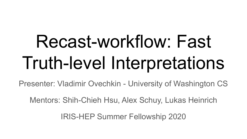# Recast-workflow: Fast Truth-level Interpretations

Presenter: Vladimir Ovechkin - University of Washington CS

Mentors: Shih-Chieh Hsu, Alex Schuy, Lukas Heinrich

IRIS-HEP Summer Fellowship 2020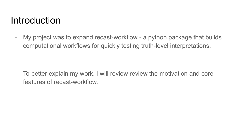#### Introduction

- My project was to expand recast-workflow - a python package that builds computational workflows for quickly testing truth-level interpretations.

- To better explain my work, I will review review the motivation and core features of recast-workflow.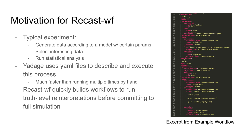#### Motivation for Recast-wf

- Typical experiment:
	- Generate data according to a model w/ certain params
	- Select interesting data
	- Run statistical analysis
- Yadage uses yaml files to describe and execute this process
	- Much faster than running multiple times by hand
- Recast-wf quickly builds workflows to run truth-level reinterpretations before committing to full simulation

| 53  | - dependencies:                                     |
|-----|-----------------------------------------------------|
| 54  | $-$ init                                            |
| 55  | name: rivet                                         |
| 56  | scheduler:                                          |
| 57  | parameters:                                         |
| 58  | analysis_id                                         |
| 59  |                                                     |
|     | output: analysis_id                                 |
| 60  | step: init                                          |
| 61  | hepmc:                                              |
| 62  | output: hepmc                                       |
| 63  | step: pythia                                        |
| 64  | outputyoda: '{workdir}/rivet_analysis.yoda'         |
| 65  | scheduler_type: singlestep-stage                    |
| 66  | step:                                               |
| 67  | environment                                         |
| 68  | environment_type: docker-encapsulated               |
| 69  | image: recast/rivet                                 |
| 70  | imagetag: latest                                    |
| 71  | process:                                            |
| 72  | cmd: rivet -a {analysis_id} -H {outputyoda} {hepmc} |
| 73  | process_type: string-interpolated-cmd               |
| 74  | publisher:                                          |
| 75  | publish:                                            |
| 76  | yoda: outputyoda                                    |
| 77  | publisher_type: interpolated-pub                    |
| 78  | - dependencies:                                     |
| 79  | $-$ init                                            |
| 80  |                                                     |
|     | - rivet                                             |
| 81  | name: contur                                        |
| 82  | scheduler:                                          |
| 83  | parameters:                                         |
| 84  | output_analysis: {workdir}/ANALYSIS'                |
| 85  | output plots: '{workdir}/plots'                     |
| 86  | yoda:                                               |
| 87  | output: yoda                                        |
| 88  | step: rivet                                         |
| 89  | scheduler_type: singlestep-stage                    |
| 90  | step:                                               |
| 91  | environment:                                        |
| 92  | environment_type: docker-encapsulated               |
| 93  | image: recast/contur                                |
| 94  | imagetag: latest                                    |
| 95  | process:                                            |
| 96  | process_type: interpolated-script-cmd               |
| 97  | script: 'source ./setupContur.sh                    |
| 98  |                                                     |
| 99  | contur {yoda}                                       |
| 100 |                                                     |
| 101 | cp -r ./ANALYSIS {output analysis}                  |
| 102 |                                                     |
| 103 | cp -r ./plots {output_plots}                        |
| 104 |                                                     |
| 105 | r.                                                  |
| 106 | publisher:                                          |
|     |                                                     |
| 107 | publish:                                            |
| 108 | analysis: output_analysis                           |
| 109 | plots: output_plots                                 |
| 110 | publisher_type: interpolated-pub                    |

Excerpt from Example Workflow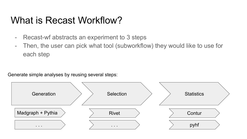#### What is Recast Workflow?

- Recast-wf abstracts an experiment to 3 steps
- Then, the user can pick what tool (subworkflow) they would like to use for each step

Generate simple analyses by reusing several steps:

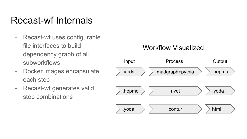#### Recast-wf Internals

- Recast-wf uses configurable file interfaces to build dependency graph of all subworkflows
- Docker images encapsulate each step
- Recast-wf generates valid step combinations

#### Workflow Visualized

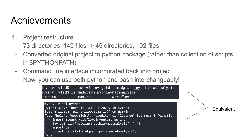- 1. Project restructure
- 73 directories, 149 files -> 45 directories, 102 files
- Converted original project to python package (rather than collection of scripts in \$PYTHONPATH)
- Command line interface incorporated back into project
- Now, you can use both python and bash interchangeably!

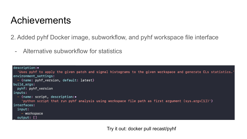2. Added pyhf Docker image, subworkflow, and pyhf workspace file interface

- Alternative subworkflow for statistics

```
description: •
  'Uses pyhf to apply the given patch and signal histograms to the given workspace and generate CLs statistics.'
environment settings:
  - {name: pyhf_version, default: latest}
build_args:
  pyhf: pyhf_version
inputs:
  - {name: script, description: •
    'python script that run pyhf analysis using workspace file path as first argument (sys.argv[1])'}
interfaces:
  input:
    - workspace
  output: []
```
Try it out: docker pull recast/pyhf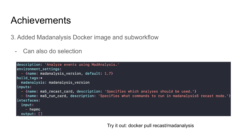3. Added Madanalysis Docker image and subworkflow

- Can also do selection

```
description: 'Analyze events using MadAnalysis.'
environment_settings:
  - {name: madanalysis version, default: 1.7}
build_tags:.
  madanalysis: madanalysis_version
inputs:
  - {name: ma5_recast_card, description: 'Specifies which analyses should be used.'}
  - {name: ma5_run_card, description: 'Specifies what commands to run in madanalysis5 recast mode.'}
interfaces:
  input:
    - hepmc
  output: []
```
Try it out: docker pull recast/madanalysis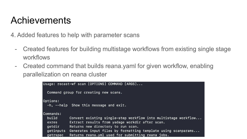4. Added features to help with parameter scans

- Created features for building multistage workflows from existing single stage workflows
- Created command that builds reana.yaml for given workflow, enabling parallelization on reana cluster

```
Usage: recast-wf scan [OPTIONS] COMMAND [ARGS]...
  Command group for creating new scans.
Options:
  -h, -help Show this message and exit.
Commands:
  build
             Convert existing single-step workflow into multistage workflow...
             Extract results from yadage workdir after scan.
  exres
  getdir
             Returns new directory to run scan.
             Generates input files by formatting template using scanparams...
  getinputs
             Returns reana.yml used for submitting reana jobs.
  getrspec
```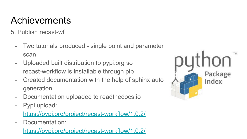5. Publish recast-wf

- Two tutorials produced single point and parameter scan
- Uploaded built distribution to pypi.org so recast-workflow is installable through pip
- Created documentation with the help of sphinx auto generation
- Documentation uploaded to readthedocs.io
- Pypi upload:

<https://pypi.org/project/recast-workflow/1.0.2/>

- Documentation:

<https://pypi.org/project/recast-workflow/1.0.2/>

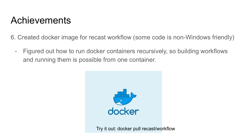6. Created docker image for recast workflow (some code is non-Windows friendly)

- Figured out how to run docker containers recursively, so building workflows and running them is possible from one container.



Try it out: docker pull recast/workflow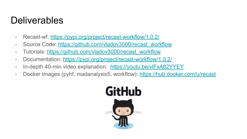#### **Deliverables**

- Recast-wf:<https://pypi.org/project/recast-workflow/1.0.2/>
- Source Code: [https://github.com/vladov3000/recast\\_workflow](https://github.com/vladov3000/recast_workflow)
- Tutorials: [https://github.com/vladov3000/recast\\_workflow](https://github.com/vladov3000/recast_workflow)
- Documentation: <https://pypi.org/project/recast-workflow/1.0.2/>
- In-depth 40-min video explanation: <https://youtu.be/vlFxA82YYEY>
- Docker Images (pyhf, madanalysis5, workflow): <https://hub.docker.com/u/recast>

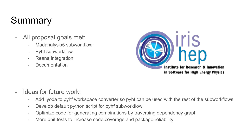### Summary

- All proposal goals met:
	- Madanalysis5 subworkflow
	- Pyhf subworkflow
	- Reana integration
	- Documentation



- Ideas for future work:
	- Add .yoda to pyhf workspace converter so pyhf can be used with the rest of the subworkflows
	- Develop default python script for pyhf subworkflow
	- Optimize code for generating combinations by traversing dependency graph
	- More unit tests to increase code coverage and package reliability